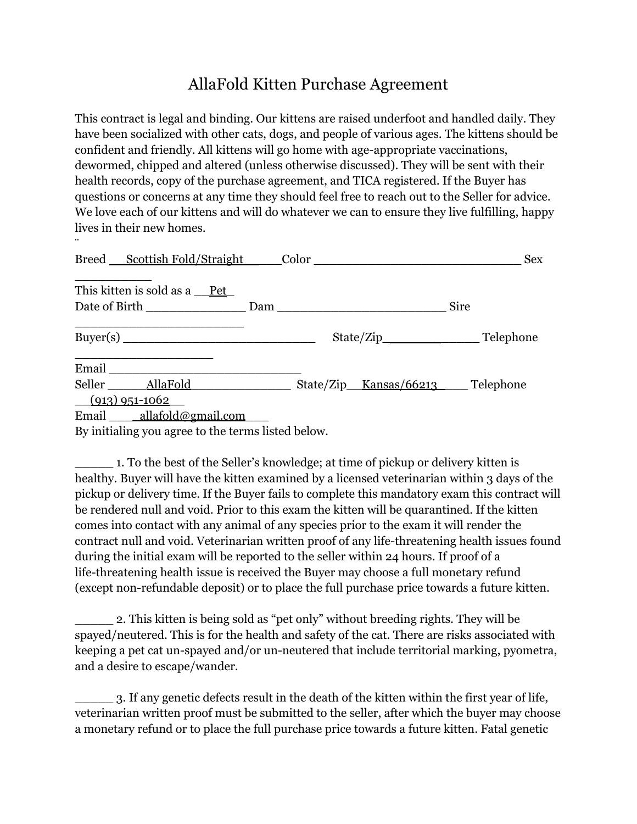## AllaFold Kitten Purchase Agreement

This contract is legal and binding. Our kittens are raised underfoot and handled daily. They have been socialized with other cats, dogs, and people of various ages. The kittens should be confident and friendly. All kittens will go home with age-appropriate vaccinations, dewormed, chipped and altered (unless otherwise discussed). They will be sent with their health records, copy of the purchase agreement, and TICA registered. If the Buyer has questions or concerns at any time they should feel free to reach out to the Seller for advice. We love each of our kittens and will do whatever we can to ensure they live fulfilling, happy lives in their new homes.

| Breed Scottish Fold/Straight Color                                                                                                                                                                                                                            |  | <b>Sex</b>  |
|---------------------------------------------------------------------------------------------------------------------------------------------------------------------------------------------------------------------------------------------------------------|--|-------------|
| This kitten is sold as a Pet                                                                                                                                                                                                                                  |  | <b>Sire</b> |
|                                                                                                                                                                                                                                                               |  |             |
| Email and the same state of the state of the state of the state of the state of the state of the state of the state of the state of the state of the state of the state of the state of the state of the state of the state of                                |  |             |
| Seller <u>AllaFold</u> State/Zip Kansas/66213 Telephone<br>$(913)$ 951-1062                                                                                                                                                                                   |  |             |
| Email allafold@gmail.com<br>$\mathbf{r}$ , and the contract of the contract of the contract of the contract of the contract of the contract of the contract of the contract of the contract of the contract of the contract of the contract of the contract o |  |             |

By initialing you agree to the terms listed below.

¨

\_\_\_\_\_ 1. To the best of the Seller's knowledge; at time of pickup or delivery kitten is healthy. Buyer will have the kitten examined by a licensed veterinarian within 3 days of the pickup or delivery time. If the Buyer fails to complete this mandatory exam this contract will be rendered null and void. Prior to this exam the kitten will be quarantined. If the kitten comes into contact with any animal of any species prior to the exam it will render the contract null and void. Veterinarian written proof of any life-threatening health issues found during the initial exam will be reported to the seller within 24 hours. If proof of a life-threatening health issue is received the Buyer may choose a full monetary refund (except non-refundable deposit) or to place the full purchase price towards a future kitten.

2. This kitten is being sold as "pet only" without breeding rights. They will be spayed/neutered. This is for the health and safety of the cat. There are risks associated with keeping a pet cat un-spayed and/or un-neutered that include territorial marking, pyometra, and a desire to escape/wander.

\_\_\_\_\_ 3. If any genetic defects result in the death of the kitten within the first year of life, veterinarian written proof must be submitted to the seller, after which the buyer may choose a monetary refund or to place the full purchase price towards a future kitten. Fatal genetic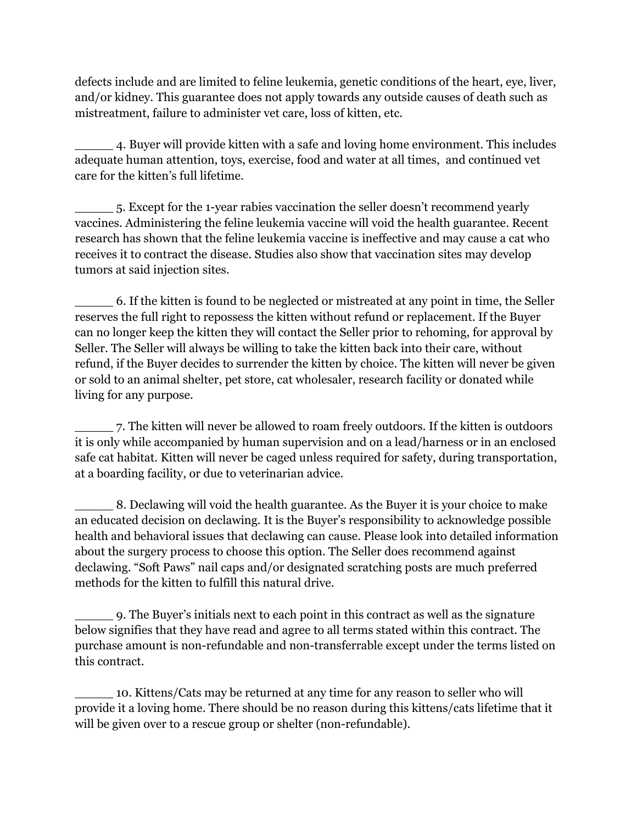defects include and are limited to feline leukemia, genetic conditions of the heart, eye, liver, and/or kidney. This guarantee does not apply towards any outside causes of death such as mistreatment, failure to administer vet care, loss of kitten, etc.

\_\_\_\_\_ 4. Buyer will provide kitten with a safe and loving home environment. This includes adequate human attention, toys, exercise, food and water at all times, and continued vet care for the kitten's full lifetime.

\_\_\_\_\_ 5. Except for the 1-year rabies vaccination the seller doesn't recommend yearly vaccines. Administering the feline leukemia vaccine will void the health guarantee. Recent research has shown that the feline leukemia vaccine is ineffective and may cause a cat who receives it to contract the disease. Studies also show that vaccination sites may develop tumors at said injection sites.

\_\_\_\_\_ 6. If the kitten is found to be neglected or mistreated at any point in time, the Seller reserves the full right to repossess the kitten without refund or replacement. If the Buyer can no longer keep the kitten they will contact the Seller prior to rehoming, for approval by Seller. The Seller will always be willing to take the kitten back into their care, without refund, if the Buyer decides to surrender the kitten by choice. The kitten will never be given or sold to an animal shelter, pet store, cat wholesaler, research facility or donated while living for any purpose.

\_\_\_\_\_ 7. The kitten will never be allowed to roam freely outdoors. If the kitten is outdoors it is only while accompanied by human supervision and on a lead/harness or in an enclosed safe cat habitat. Kitten will never be caged unless required for safety, during transportation, at a boarding facility, or due to veterinarian advice.

\_\_\_\_\_ 8. Declawing will void the health guarantee. As the Buyer it is your choice to make an educated decision on declawing. It is the Buyer's responsibility to acknowledge possible health and behavioral issues that declawing can cause. Please look into detailed information about the surgery process to choose this option. The Seller does recommend against declawing. "Soft Paws" nail caps and/or designated scratching posts are much preferred methods for the kitten to fulfill this natural drive.

\_\_\_\_\_ 9. The Buyer's initials next to each point in this contract as well as the signature below signifies that they have read and agree to all terms stated within this contract. The purchase amount is non-refundable and non-transferrable except under the terms listed on this contract.

\_\_\_\_\_ 10. Kittens/Cats may be returned at any time for any reason to seller who will provide it a loving home. There should be no reason during this kittens/cats lifetime that it will be given over to a rescue group or shelter (non-refundable).